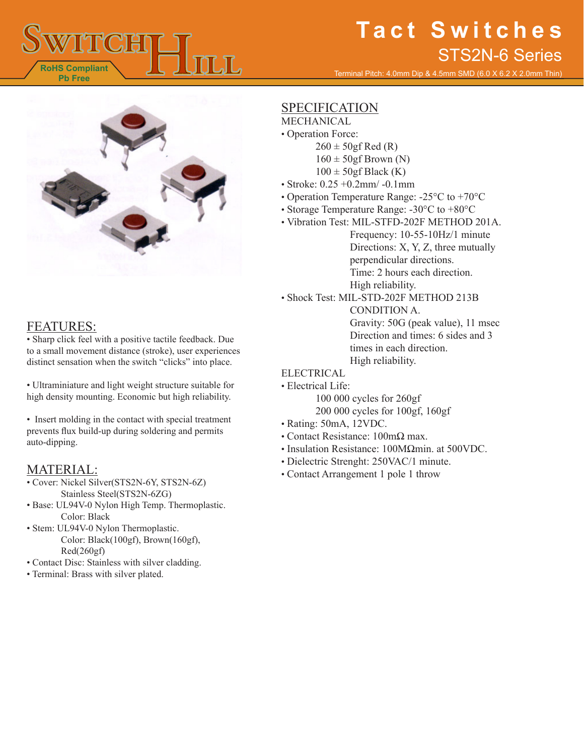

Terminal Pitch: 4.0mm Dip & 4.5mm SMD (6.0 X 6.2 X 2.0mm Thin)



### FEATURES:

• Sharp click feel with a positive tactile feedback. Due to a small movement distance (stroke), user experiences distinct sensation when the switch "clicks" into place.

• Ultraminiature and light weight structure suitable for high density mounting. Economic but high reliability.

• Insert molding in the contact with special treatment prevents flux build-up during soldering and permits auto-dipping.

### MATERIAL:

- Cover: Nickel Silver(STS2N-6Y, STS2N-6Z) Stainless Steel(STS2N-6ZG)
- Base: UL94V-0 Nylon High Temp. Thermoplastic. Color: Black
- Stem: UL94V-0 Nylon Thermoplastic. Color: Black(100gf), Brown(160gf), Red(260gf)
- Contact Disc: Stainless with silver cladding.
- Terminal: Brass with silver plated.

## **SPECIFICATION**

- MECHANICAL • Operation Force:
	- $260 \pm 50$ gf Red (R)
	- $160 \pm 50$ gf Brown (N)
	- $100 \pm 50$ gf Black (K)
- Stroke: 0.25 +0.2mm/ -0.1mm
- Operation Temperature Range: -25°C to +70°C
- Storage Temperature Range: -30°C to +80°C
- Vibration Test: MIL-STFD-202F METHOD 201A.

Frequency: 10-55-10Hz/1 minute Directions: X, Y, Z, three mutually perpendicular directions. Time: 2 hours each direction. High reliability.

• Shock Test: MIL-STD-202F METHOD 213B

CONDITION A. Gravity: 50G (peak value), 11 msec Direction and times: 6 sides and 3 times in each direction. High reliability.

- ELECTRICAL
- Electrical Life:
	- 100 000 cycles for 260gf 200 000 cycles for 100gf, 160gf
- Rating: 50mA, 12VDC.
- Contact Resistance: 100mΩ max.
- Insulation Resistance: 100MΩmin. at 500VDC.
- Dielectric Strenght: 250VAC/1 minute.
- Contact Arrangement 1 pole 1 throw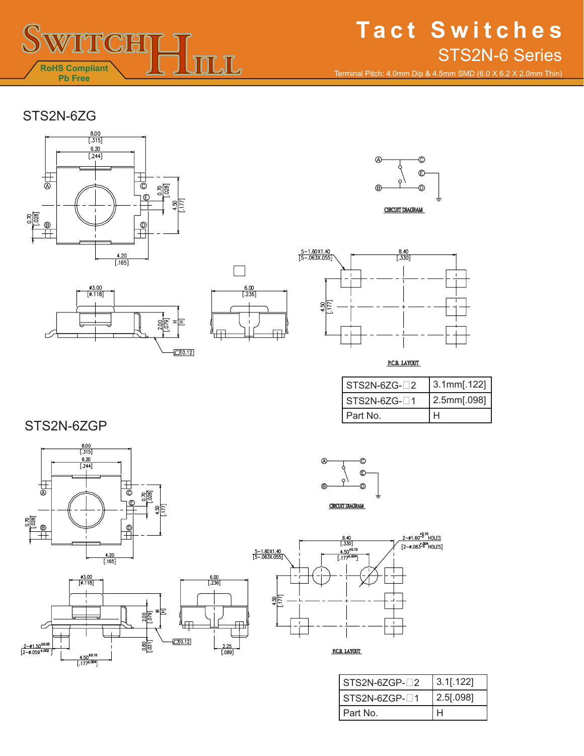

Terminal Pitch: 4.0mm Dip & 4.5mm SMD (6.0 X 6.2 X 2.0mm Thin)

## STS2N-6ZG











P.C.B. LAYOUT

| $STS2N-6ZG-72$ | $3.1$ mm $[.122]$ |
|----------------|-------------------|
| $STS2N-6ZG-71$ | 2.5mm[.098]       |
| Part No.       |                   |

STS2N-6ZGP

۳.

 $\frac{2-\phi1.50^{\pm0.05}}{[2-\phi.059^{\pm.002}}$ 



 $\frac{4.50^{±0.10}}{[.177^{±.004}]}$ 





| $STS2N-6ZGP-72$ | $3.1$ [.122] |
|-----------------|--------------|
| $STS2N-6ZGP-71$ | 2.5[.098]    |
| Part No.        |              |



 $rac{80}{1001}$ 

 $\Box$  0.12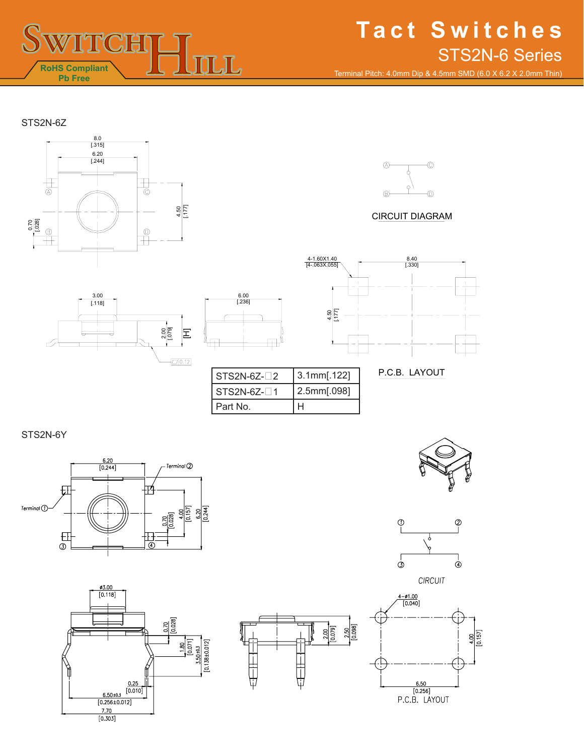

Terminal Pitch: 4.0mm Dip & 4.5mm SMD (6.0 X 6.2 X 2.0mm Thin)

#### STS2N-6Z





#### CIRCUIT DIAGRAM





| l STS2N-6Z-∏2 | 3.1mm[.122] |
|---------------|-------------|
| l STS2N-6Z-□1 | 2.5mm[.098] |
| l Part No.    |             |



P.C.B. LAYOUT

#### STS2N-6Y











CIRCUIT